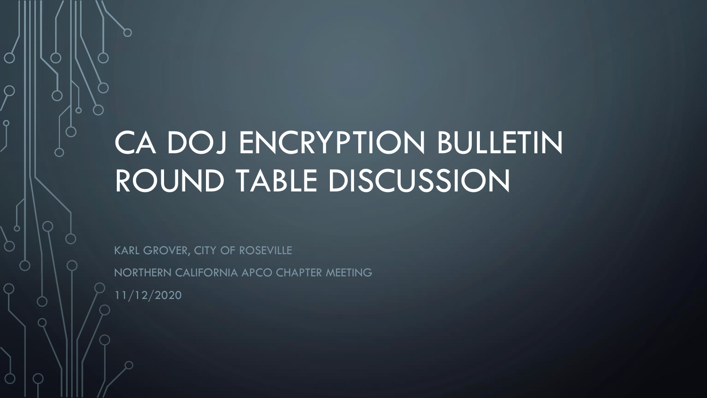# CA DOJ ENCRYPTION BULLETIN ROUND TABLE DISCUSSION

KARL GROVER, CITY OF ROSEVILLE NORTHERN CALIFORNIA APCO CHAPTER MEETING 11/12/2020

 $\Omega$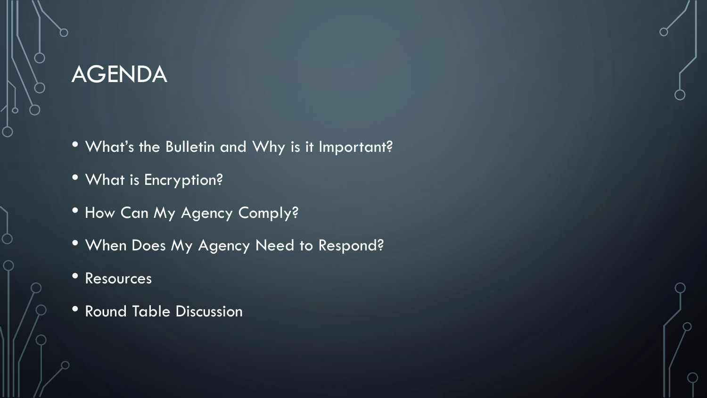#### AGENDA

- What's the Bulletin and Why is it Important?
- What is Encryption?
- How Can My Agency Comply?
- When Does My Agency Need to Respond?
- Resources
- Round Table Discussion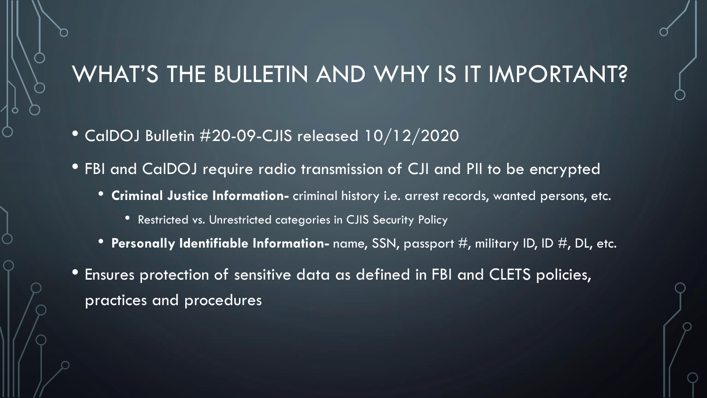#### WHAT'S THE BULLETIN AND WHY IS IT IMPORTANT?

- CalDOJ Bulletin #20-09-CJIS released 10/12/2020
- FBI and CalDOJ require radio transmission of CJI and PII to be encrypted
	- **Criminal Justice Information-** criminal history i.e. arrest records, wanted persons, etc.
		- Restricted vs. Unrestricted categories in CJIS Security Policy
	- **Personally Identifiable Information-** name, SSN, passport #, military ID, ID #, DL, etc.
- Ensures protection of sensitive data as defined in FBI and CLETS policies, practices and procedures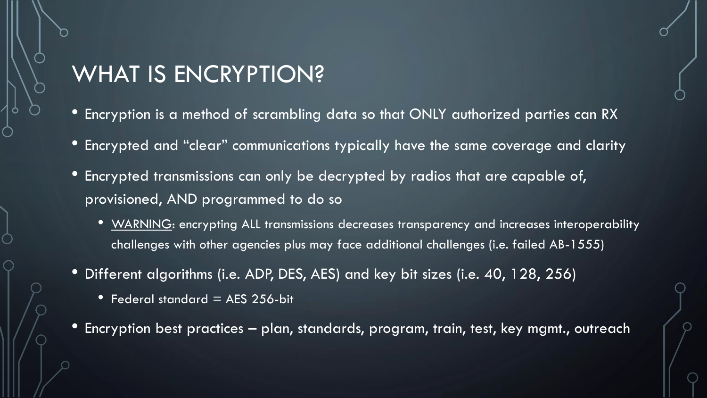## WHAT IS ENCRYPTION?

- Encryption is a method of scrambling data so that ONLY authorized parties can RX
- Encrypted and "clear" communications typically have the same coverage and clarity
- Encrypted transmissions can only be decrypted by radios that are capable of, provisioned, AND programmed to do so
	- WARNING: encrypting ALL transmissions decreases transparency and increases interoperability challenges with other agencies plus may face additional challenges (i.e. failed AB-1555)
- Different algorithms (i.e. ADP, DES, AES) and key bit sizes (i.e. 40, 128, 256)
	- Federal standard  $=$  AES 256-bit
- Encryption best practices plan, standards, program, train, test, key mgmt., outreach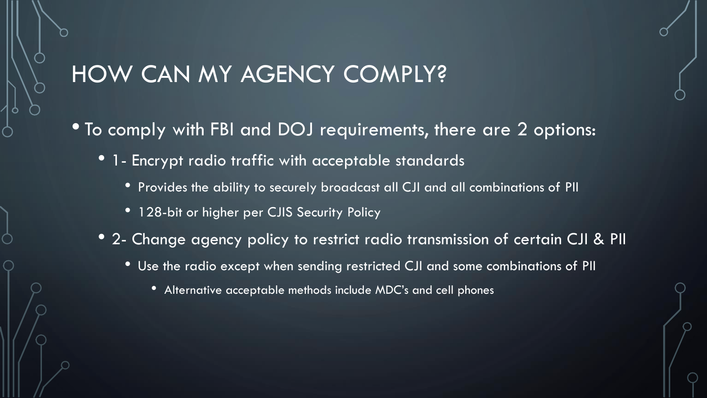#### HOW CAN MY AGENCY COMPLY?

- To comply with FBI and DOJ requirements, there are 2 options:
	- 1- Encrypt radio traffic with acceptable standards
		- Provides the ability to securely broadcast all CJI and all combinations of PII
		- 128-bit or higher per CJIS Security Policy
	- 2- Change agency policy to restrict radio transmission of certain CJI & PII
		- Use the radio except when sending restricted CJI and some combinations of PII
			- Alternative acceptable methods include MDC's and cell phones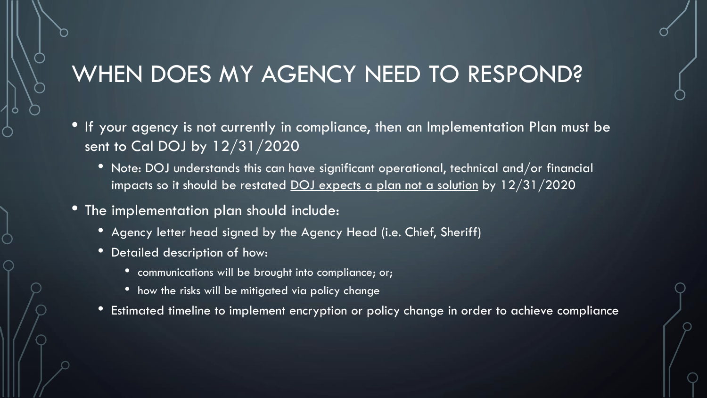## WHEN DOES MY AGENCY NEED TO RESPOND?

- If your agency is not currently in compliance, then an Implementation Plan must be sent to Cal DOJ by 12/31/2020
	- Note: DOJ understands this can have significant operational, technical and/or financial impacts so it should be restated  $\overline{\text{DOL}}$  expects a plan not a solution by 12/31/2020
- The implementation plan should include:
	- Agency letter head signed by the Agency Head (i.e. Chief, Sheriff)
	- Detailed description of how:
		- communications will be brought into compliance; or;
		- how the risks will be mitigated via policy change
	- Estimated timeline to implement encryption or policy change in order to achieve compliance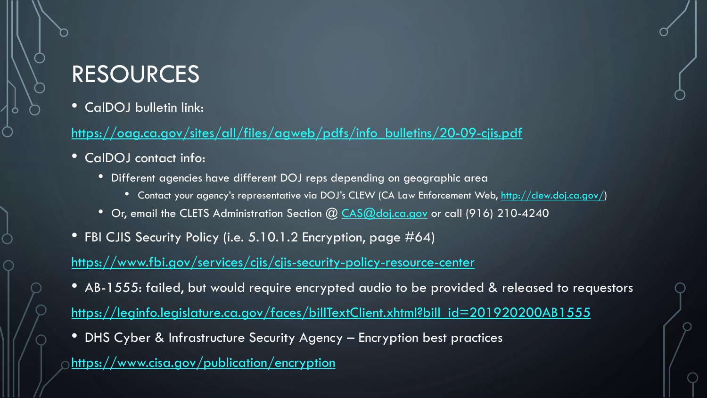### RESOURCES

• CalDOJ bulletin link:

[https://oag.ca.gov/sites/all/files/agweb/pdfs/info\\_bulletins/20-09-cjis.pdf](https://oag.ca.gov/sites/all/files/agweb/pdfs/info_bulletins/20-09-cjis.pdf)

- CalDOJ contact info:
	- Different agencies have different DOJ reps depending on geographic area
		- Contact your agency's representative via DOJ's CLEW (CA Law Enforcement Web, <http://clew.doj.ca.gov/>)
	- Or, email the CLETS Administration Section @ [CAS@doj.ca.gov](mailto:CAS@doj.ca.gov) or call (916) 210-4240
- FBI CJIS Security Policy (i.e. 5.10.1.2 Encryption, page #64)

<https://www.fbi.gov/services/cjis/cjis-security-policy-resource-center>

• AB-1555: failed, but would require encrypted audio to be provided & released to requestors

[https://leginfo.legislature.ca.gov/faces/billTextClient.xhtml?bill\\_id=201920200AB1555](https://leginfo.legislature.ca.gov/faces/billTextClient.xhtml?bill_id=201920200AB1555)

• DHS Cyber & Infrastructure Security Agency – Encryption best practices

<https://www.cisa.gov/publication/encryption>